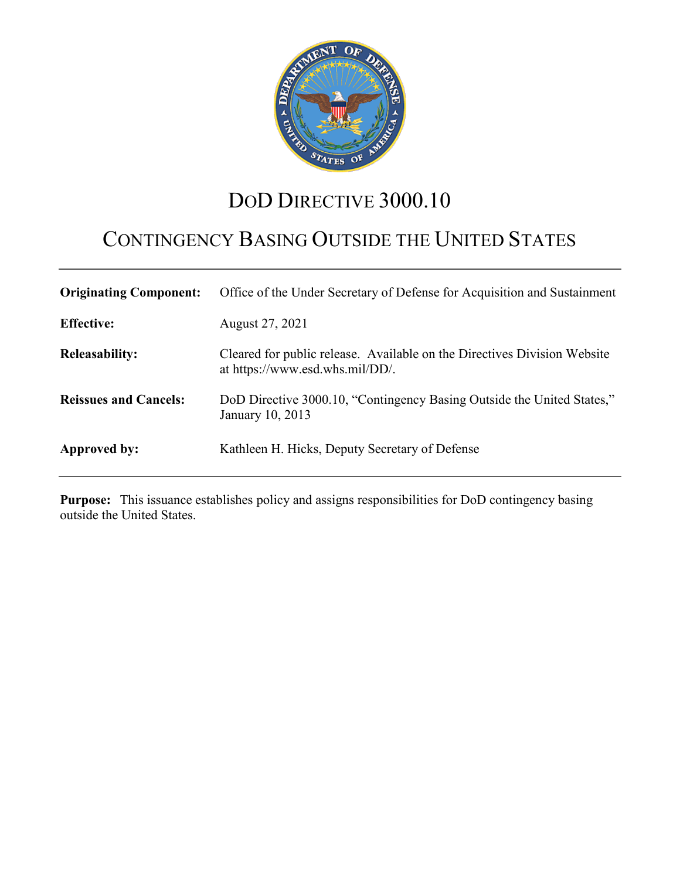

# DOD DIRECTIVE 3000.10

# CONTINGENCY BASING OUTSIDE THE UNITED STATES

| <b>Originating Component:</b> | Office of the Under Secretary of Defense for Acquisition and Sustainment                                    |
|-------------------------------|-------------------------------------------------------------------------------------------------------------|
| <b>Effective:</b>             | August 27, 2021                                                                                             |
| <b>Releasability:</b>         | Cleared for public release. Available on the Directives Division Website<br>at https://www.esd.whs.mil/DD/. |
| <b>Reissues and Cancels:</b>  | DoD Directive 3000.10, "Contingency Basing Outside the United States,"<br>January 10, 2013                  |
| Approved by:                  | Kathleen H. Hicks, Deputy Secretary of Defense                                                              |

**Purpose:** This issuance establishes policy and assigns responsibilities for DoD contingency basing outside the United States.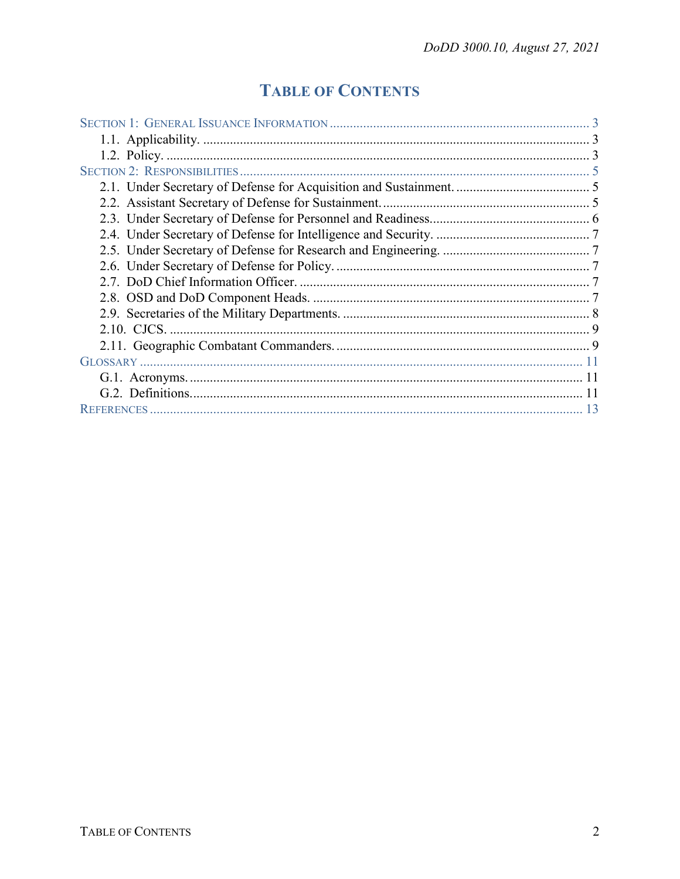## **TABLE OF CONTENTS**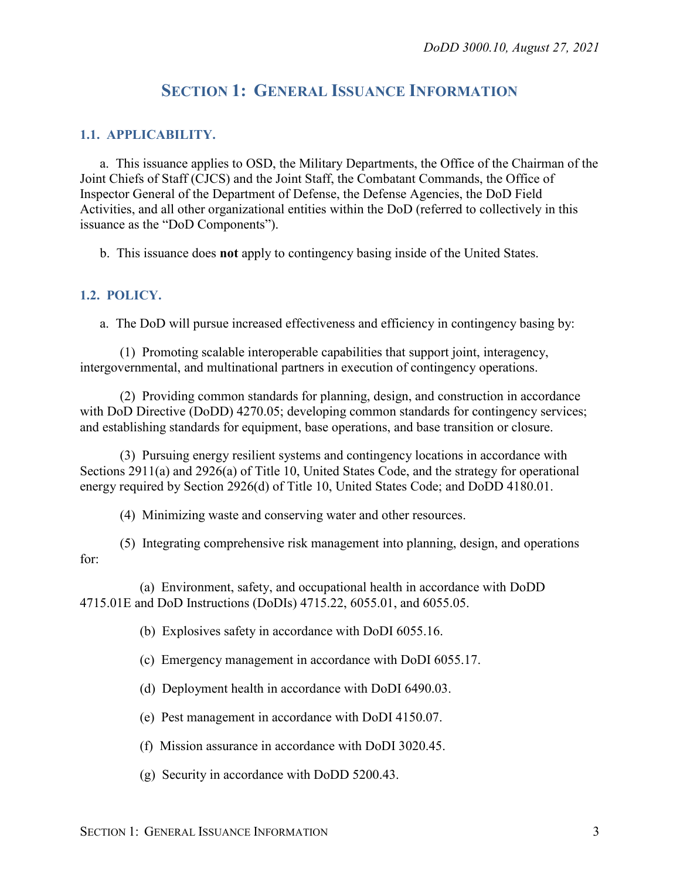## **SECTION 1: GENERAL ISSUANCE INFORMATION**

#### <span id="page-2-1"></span><span id="page-2-0"></span>**1.1. APPLICABILITY.**

a. This issuance applies to OSD, the Military Departments, the Office of the Chairman of the Joint Chiefs of Staff (CJCS) and the Joint Staff, the Combatant Commands, the Office of Inspector General of the Department of Defense, the Defense Agencies, the DoD Field Activities, and all other organizational entities within the DoD (referred to collectively in this issuance as the "DoD Components").

b. This issuance does **not** apply to contingency basing inside of the United States.

#### <span id="page-2-2"></span>**1.2. POLICY.**

a. The DoD will pursue increased effectiveness and efficiency in contingency basing by:

(1) Promoting scalable interoperable capabilities that support joint, interagency, intergovernmental, and multinational partners in execution of contingency operations.

(2) Providing common standards for planning, design, and construction in accordance with DoD Directive (DoDD) 4270.05; developing common standards for contingency services; and establishing standards for equipment, base operations, and base transition or closure.

(3) Pursuing energy resilient systems and contingency locations in accordance with Sections 2911(a) and 2926(a) of Title 10, United States Code, and the strategy for operational energy required by Section 2926(d) of Title 10, United States Code; and DoDD 4180.01.

(4) Minimizing waste and conserving water and other resources.

(5) Integrating comprehensive risk management into planning, design, and operations for:

(a) Environment, safety, and occupational health in accordance with DoDD 4715.01E and DoD Instructions (DoDIs) 4715.22, 6055.01, and 6055.05.

(b) Explosives safety in accordance with DoDI 6055.16.

(c) Emergency management in accordance with DoDI 6055.17.

(d) Deployment health in accordance with DoDI 6490.03.

(e) Pest management in accordance with DoDI 4150.07.

(f) Mission assurance in accordance with DoDI 3020.45.

(g) Security in accordance with DoDD 5200.43.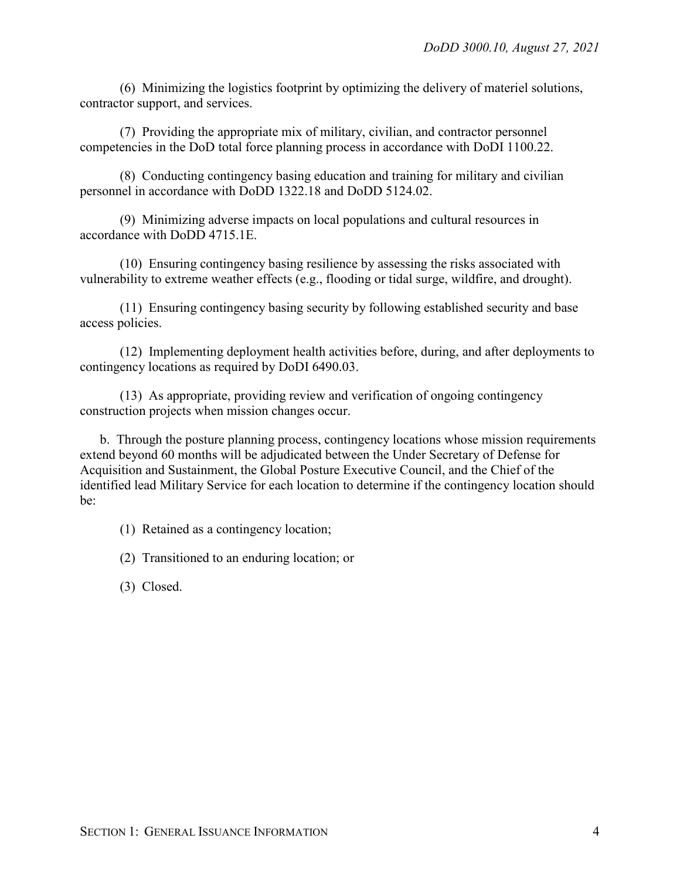(6) Minimizing the logistics footprint by optimizing the delivery of materiel solutions, contractor support, and services.

(7) Providing the appropriate mix of military, civilian, and contractor personnel competencies in the DoD total force planning process in accordance with DoDI 1100.22.

(8) Conducting contingency basing education and training for military and civilian personnel in accordance with DoDD 1322.18 and DoDD 5124.02.

(9) Minimizing adverse impacts on local populations and cultural resources in accordance with DoDD 4715.1E.

(10) Ensuring contingency basing resilience by assessing the risks associated with vulnerability to extreme weather effects (e.g., flooding or tidal surge, wildfire, and drought).

(11) Ensuring contingency basing security by following established security and base access policies.

(12) Implementing deployment health activities before, during, and after deployments to contingency locations as required by DoDI 6490.03.

(13) As appropriate, providing review and verification of ongoing contingency construction projects when mission changes occur.

b. Through the posture planning process, contingency locations whose mission requirements extend beyond 60 months will be adjudicated between the Under Secretary of Defense for Acquisition and Sustainment, the Global Posture Executive Council, and the Chief of the identified lead Military Service for each location to determine if the contingency location should be:

(1) Retained as a contingency location;

(2) Transitioned to an enduring location; or

(3) Closed.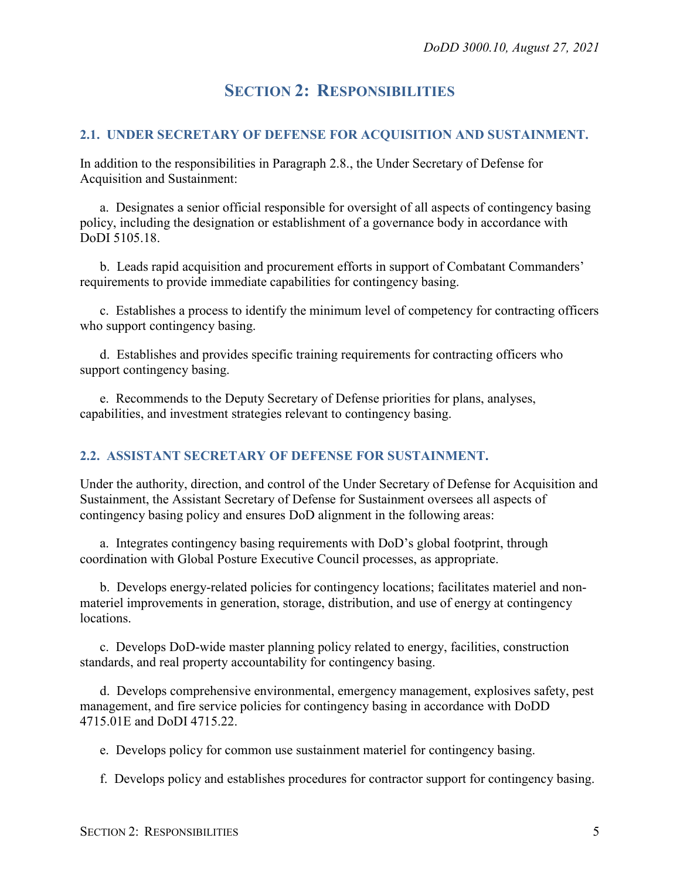## **SECTION 2: RESPONSIBILITIES**

#### <span id="page-4-1"></span><span id="page-4-0"></span>**2.1. UNDER SECRETARY OF DEFENSE FOR ACQUISITION AND SUSTAINMENT.**

In addition to the responsibilities in Paragraph 2.8., the Under Secretary of Defense for Acquisition and Sustainment:

a. Designates a senior official responsible for oversight of all aspects of contingency basing policy, including the designation or establishment of a governance body in accordance with DoDI 5105.18.

b. Leads rapid acquisition and procurement efforts in support of Combatant Commanders' requirements to provide immediate capabilities for contingency basing.

c. Establishes a process to identify the minimum level of competency for contracting officers who support contingency basing.

d. Establishes and provides specific training requirements for contracting officers who support contingency basing.

e. Recommends to the Deputy Secretary of Defense priorities for plans, analyses, capabilities, and investment strategies relevant to contingency basing.

#### <span id="page-4-2"></span>**2.2. ASSISTANT SECRETARY OF DEFENSE FOR SUSTAINMENT.**

Under the authority, direction, and control of the Under Secretary of Defense for Acquisition and Sustainment, the Assistant Secretary of Defense for Sustainment oversees all aspects of contingency basing policy and ensures DoD alignment in the following areas:

a. Integrates contingency basing requirements with DoD's global footprint, through coordination with Global Posture Executive Council processes, as appropriate.

b. Develops energy-related policies for contingency locations; facilitates materiel and nonmateriel improvements in generation, storage, distribution, and use of energy at contingency locations.

c. Develops DoD-wide master planning policy related to energy, facilities, construction standards, and real property accountability for contingency basing.

d. Develops comprehensive environmental, emergency management, explosives safety, pest management, and fire service policies for contingency basing in accordance with DoDD 4715.01E and DoDI 4715.22.

e. Develops policy for common use sustainment materiel for contingency basing.

f. Develops policy and establishes procedures for contractor support for contingency basing.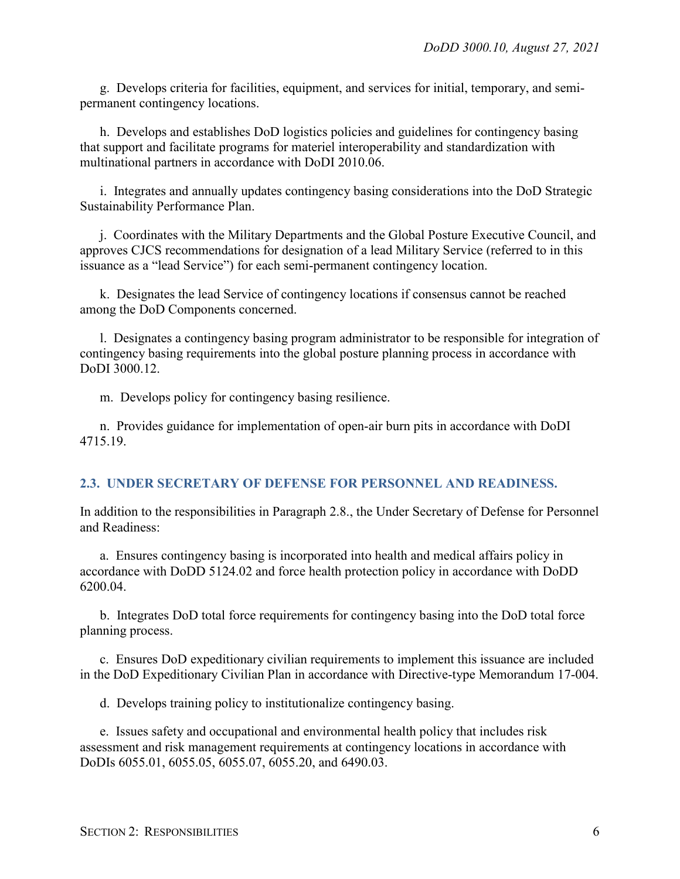g. Develops criteria for facilities, equipment, and services for initial, temporary, and semipermanent contingency locations.

h. Develops and establishes DoD logistics policies and guidelines for contingency basing that support and facilitate programs for materiel interoperability and standardization with multinational partners in accordance with DoDI 2010.06.

i. Integrates and annually updates contingency basing considerations into the DoD Strategic Sustainability Performance Plan.

j. Coordinates with the Military Departments and the Global Posture Executive Council, and approves CJCS recommendations for designation of a lead Military Service (referred to in this issuance as a "lead Service") for each semi-permanent contingency location.

k. Designates the lead Service of contingency locations if consensus cannot be reached among the DoD Components concerned.

l. Designates a contingency basing program administrator to be responsible for integration of contingency basing requirements into the global posture planning process in accordance with DoDI 3000.12.

m. Develops policy for contingency basing resilience.

n. Provides guidance for implementation of open-air burn pits in accordance with DoDI 4715.19.

#### <span id="page-5-0"></span>**2.3. UNDER SECRETARY OF DEFENSE FOR PERSONNEL AND READINESS.**

In addition to the responsibilities in Paragraph 2.8., the Under Secretary of Defense for Personnel and Readiness:

a. Ensures contingency basing is incorporated into health and medical affairs policy in accordance with DoDD 5124.02 and force health protection policy in accordance with DoDD 6200.04.

b. Integrates DoD total force requirements for contingency basing into the DoD total force planning process.

c. Ensures DoD expeditionary civilian requirements to implement this issuance are included in the DoD Expeditionary Civilian Plan in accordance with Directive-type Memorandum 17-004.

d. Develops training policy to institutionalize contingency basing.

e. Issues safety and occupational and environmental health policy that includes risk assessment and risk management requirements at contingency locations in accordance with DoDIs 6055.01, 6055.05, 6055.07, 6055.20, and 6490.03.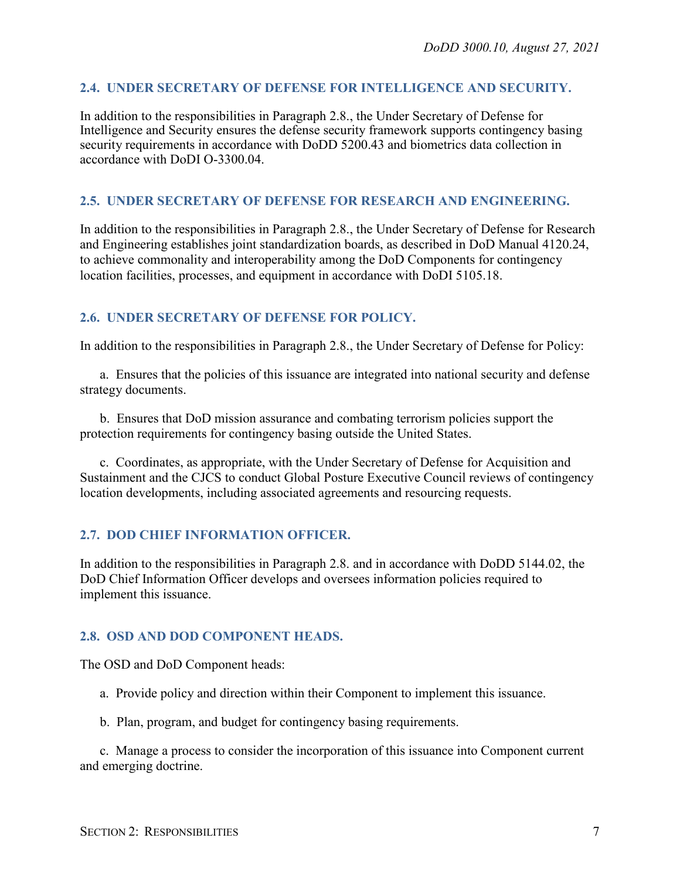#### <span id="page-6-0"></span>**2.4. UNDER SECRETARY OF DEFENSE FOR INTELLIGENCE AND SECURITY.**

In addition to the responsibilities in Paragraph 2.8., the Under Secretary of Defense for Intelligence and Security ensures the defense security framework supports contingency basing security requirements in accordance with DoDD 5200.43 and biometrics data collection in accordance with DoDI O-3300.04.

#### <span id="page-6-1"></span>**2.5. UNDER SECRETARY OF DEFENSE FOR RESEARCH AND ENGINEERING.**

In addition to the responsibilities in Paragraph 2.8., the Under Secretary of Defense for Research and Engineering establishes joint standardization boards, as described in DoD Manual 4120.24, to achieve commonality and interoperability among the DoD Components for contingency location facilities, processes, and equipment in accordance with DoDI 5105.18.

#### <span id="page-6-2"></span>**2.6. UNDER SECRETARY OF DEFENSE FOR POLICY.**

In addition to the responsibilities in Paragraph 2.8., the Under Secretary of Defense for Policy:

a. Ensures that the policies of this issuance are integrated into national security and defense strategy documents.

b. Ensures that DoD mission assurance and combating terrorism policies support the protection requirements for contingency basing outside the United States.

c. Coordinates, as appropriate, with the Under Secretary of Defense for Acquisition and Sustainment and the CJCS to conduct Global Posture Executive Council reviews of contingency location developments, including associated agreements and resourcing requests.

#### <span id="page-6-3"></span>**2.7. DOD CHIEF INFORMATION OFFICER.**

In addition to the responsibilities in Paragraph 2.8. and in accordance with DoDD 5144.02, the DoD Chief Information Officer develops and oversees information policies required to implement this issuance.

#### <span id="page-6-4"></span>**2.8. OSD AND DOD COMPONENT HEADS.**

The OSD and DoD Component heads:

- a. Provide policy and direction within their Component to implement this issuance.
- b. Plan, program, and budget for contingency basing requirements.

c. Manage a process to consider the incorporation of this issuance into Component current and emerging doctrine.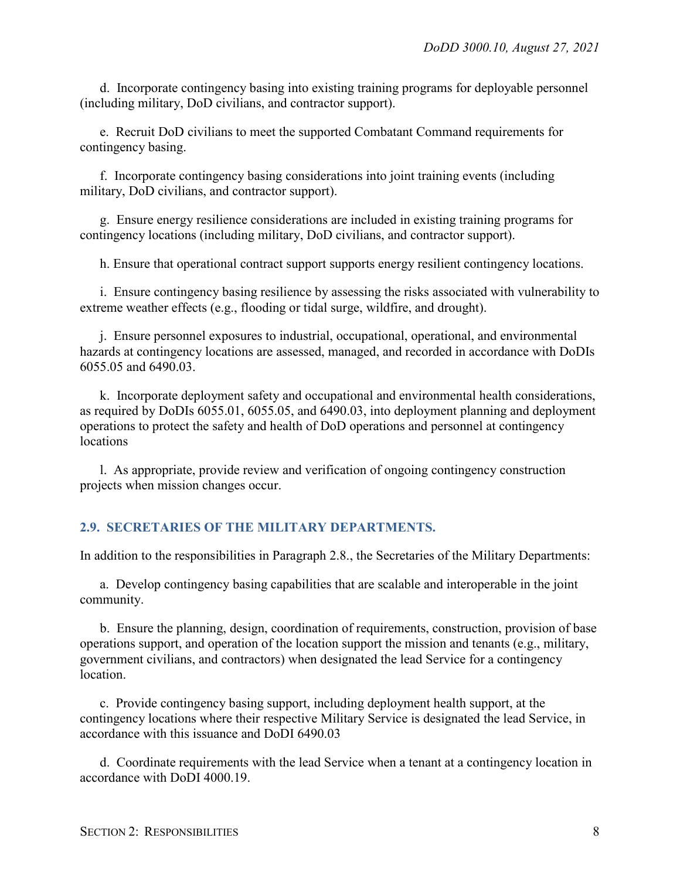d. Incorporate contingency basing into existing training programs for deployable personnel (including military, DoD civilians, and contractor support).

e. Recruit DoD civilians to meet the supported Combatant Command requirements for contingency basing.

f. Incorporate contingency basing considerations into joint training events (including military, DoD civilians, and contractor support).

g. Ensure energy resilience considerations are included in existing training programs for contingency locations (including military, DoD civilians, and contractor support).

h. Ensure that operational contract support supports energy resilient contingency locations.

i. Ensure contingency basing resilience by assessing the risks associated with vulnerability to extreme weather effects (e.g., flooding or tidal surge, wildfire, and drought).

j. Ensure personnel exposures to industrial, occupational, operational, and environmental hazards at contingency locations are assessed, managed, and recorded in accordance with DoDIs 6055.05 and 6490.03.

k. Incorporate deployment safety and occupational and environmental health considerations, as required by DoDIs 6055.01, 6055.05, and 6490.03, into deployment planning and deployment operations to protect the safety and health of DoD operations and personnel at contingency locations

l. As appropriate, provide review and verification of ongoing contingency construction projects when mission changes occur.

#### <span id="page-7-0"></span>**2.9. SECRETARIES OF THE MILITARY DEPARTMENTS.**

In addition to the responsibilities in Paragraph 2.8., the Secretaries of the Military Departments:

a. Develop contingency basing capabilities that are scalable and interoperable in the joint community.

b. Ensure the planning, design, coordination of requirements, construction, provision of base operations support, and operation of the location support the mission and tenants (e.g., military, government civilians, and contractors) when designated the lead Service for a contingency location.

c. Provide contingency basing support, including deployment health support, at the contingency locations where their respective Military Service is designated the lead Service, in accordance with this issuance and DoDI 6490.03

d. Coordinate requirements with the lead Service when a tenant at a contingency location in accordance with DoDI 4000.19.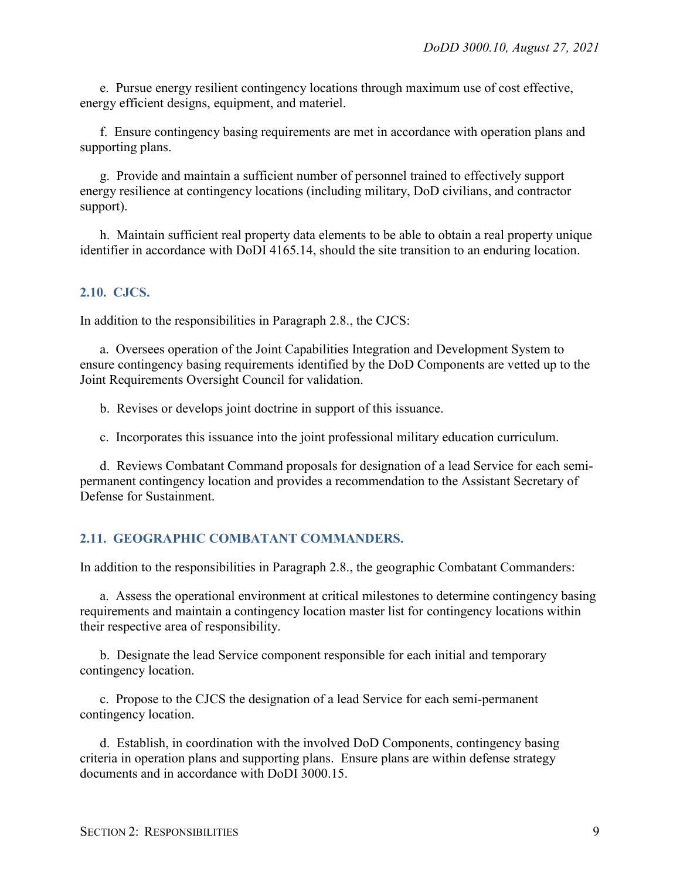e. Pursue energy resilient contingency locations through maximum use of cost effective, energy efficient designs, equipment, and materiel.

f. Ensure contingency basing requirements are met in accordance with operation plans and supporting plans.

g. Provide and maintain a sufficient number of personnel trained to effectively support energy resilience at contingency locations (including military, DoD civilians, and contractor support).

h. Maintain sufficient real property data elements to be able to obtain a real property unique identifier in accordance with DoDI 4165.14, should the site transition to an enduring location.

#### <span id="page-8-0"></span>**2.10. CJCS.**

In addition to the responsibilities in Paragraph 2.8., the CJCS:

a. Oversees operation of the Joint Capabilities Integration and Development System to ensure contingency basing requirements identified by the DoD Components are vetted up to the Joint Requirements Oversight Council for validation.

b. Revises or develops joint doctrine in support of this issuance.

c. Incorporates this issuance into the joint professional military education curriculum.

d. Reviews Combatant Command proposals for designation of a lead Service for each semipermanent contingency location and provides a recommendation to the Assistant Secretary of Defense for Sustainment.

#### <span id="page-8-1"></span>**2.11. GEOGRAPHIC COMBATANT COMMANDERS.**

In addition to the responsibilities in Paragraph 2.8., the geographic Combatant Commanders:

a. Assess the operational environment at critical milestones to determine contingency basing requirements and maintain a contingency location master list for contingency locations within their respective area of responsibility.

b. Designate the lead Service component responsible for each initial and temporary contingency location.

c. Propose to the CJCS the designation of a lead Service for each semi-permanent contingency location.

d. Establish, in coordination with the involved DoD Components, contingency basing criteria in operation plans and supporting plans. Ensure plans are within defense strategy documents and in accordance with DoDI 3000.15.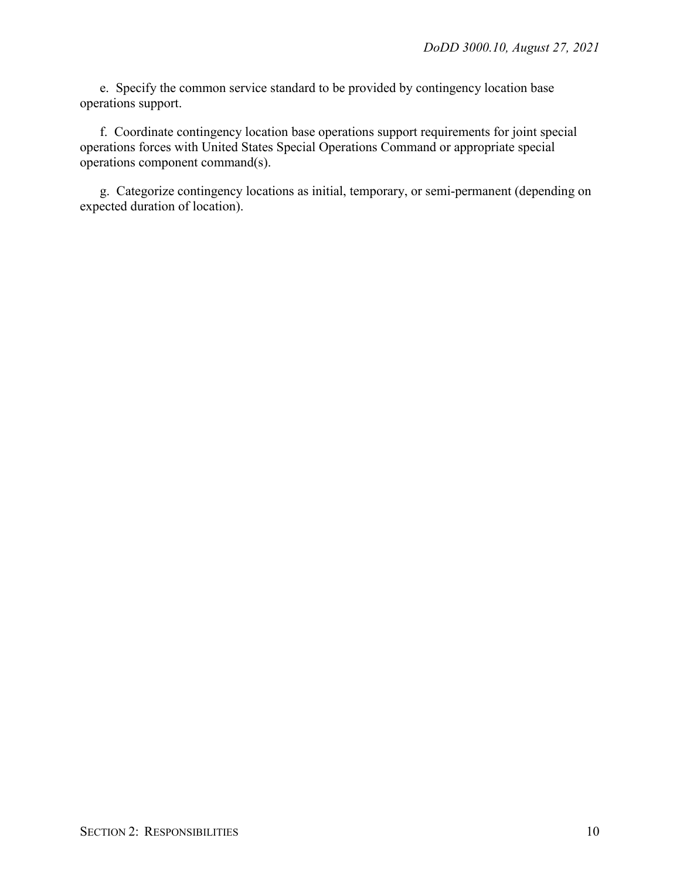e. Specify the common service standard to be provided by contingency location base operations support.

f. Coordinate contingency location base operations support requirements for joint special operations forces with United States Special Operations Command or appropriate special operations component command(s).

g. Categorize contingency locations as initial, temporary, or semi-permanent (depending on expected duration of location).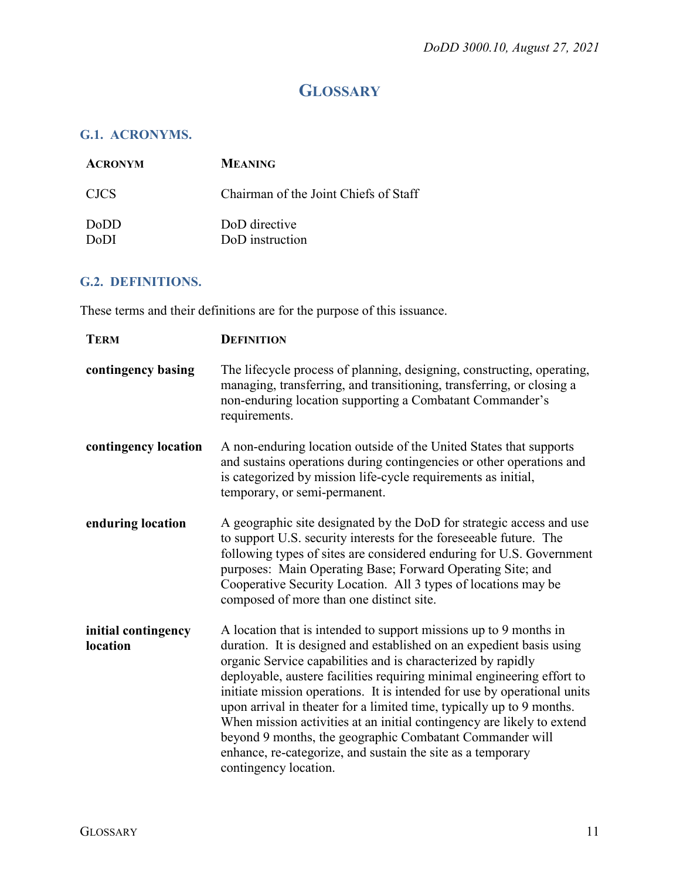## **GLOSSARY**

### <span id="page-10-1"></span><span id="page-10-0"></span>**G.1. ACRONYMS.**

| <b>ACRONYM</b>      | <b>MEANING</b>                        |
|---------------------|---------------------------------------|
| <b>CJCS</b>         | Chairman of the Joint Chiefs of Staff |
| <b>DoDD</b><br>DoDI | DoD directive<br>DoD instruction      |

#### <span id="page-10-2"></span>**G.2. DEFINITIONS.**

These terms and their definitions are for the purpose of this issuance.

| <b>TERM</b>                     | <b>DEFINITION</b>                                                                                                                                                                                                                                                                                                                                                                                                                                                                                                                                                                                                                                                      |
|---------------------------------|------------------------------------------------------------------------------------------------------------------------------------------------------------------------------------------------------------------------------------------------------------------------------------------------------------------------------------------------------------------------------------------------------------------------------------------------------------------------------------------------------------------------------------------------------------------------------------------------------------------------------------------------------------------------|
| contingency basing              | The lifecycle process of planning, designing, constructing, operating,<br>managing, transferring, and transitioning, transferring, or closing a<br>non-enduring location supporting a Combatant Commander's<br>requirements.                                                                                                                                                                                                                                                                                                                                                                                                                                           |
| contingency location            | A non-enduring location outside of the United States that supports<br>and sustains operations during contingencies or other operations and<br>is categorized by mission life-cycle requirements as initial,<br>temporary, or semi-permanent.                                                                                                                                                                                                                                                                                                                                                                                                                           |
| enduring location               | A geographic site designated by the DoD for strategic access and use<br>to support U.S. security interests for the foreseeable future. The<br>following types of sites are considered enduring for U.S. Government<br>purposes: Main Operating Base; Forward Operating Site; and<br>Cooperative Security Location. All 3 types of locations may be<br>composed of more than one distinct site.                                                                                                                                                                                                                                                                         |
| initial contingency<br>location | A location that is intended to support missions up to 9 months in<br>duration. It is designed and established on an expedient basis using<br>organic Service capabilities and is characterized by rapidly<br>deployable, austere facilities requiring minimal engineering effort to<br>initiate mission operations. It is intended for use by operational units<br>upon arrival in theater for a limited time, typically up to 9 months.<br>When mission activities at an initial contingency are likely to extend<br>beyond 9 months, the geographic Combatant Commander will<br>enhance, re-categorize, and sustain the site as a temporary<br>contingency location. |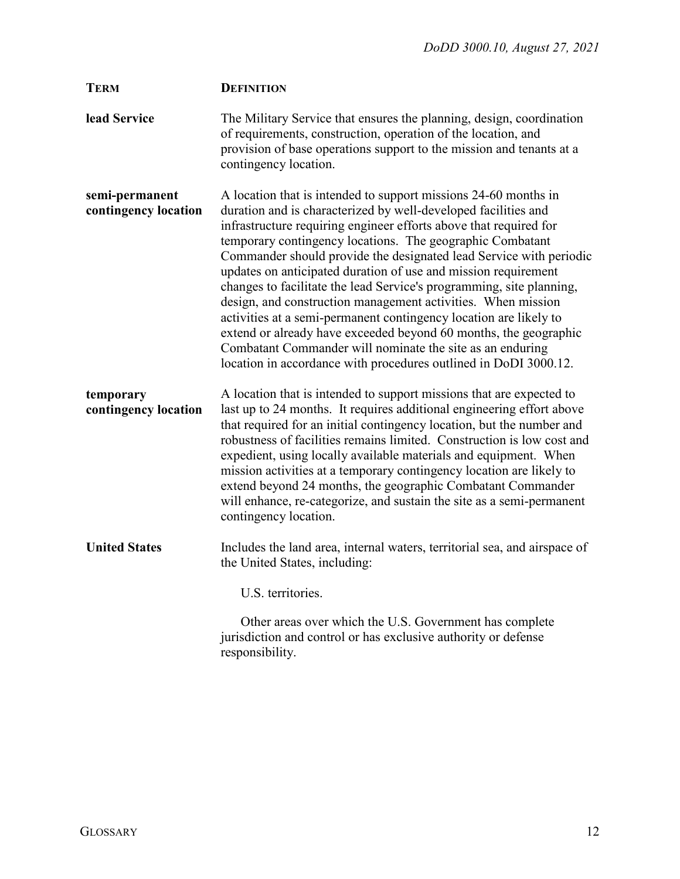| <b>TERM</b>                            | <b>DEFINITION</b>                                                                                                                                                                                                                                                                                                                                                                                                                                                                                                                                                                                                                                                                                                                                                                                                             |
|----------------------------------------|-------------------------------------------------------------------------------------------------------------------------------------------------------------------------------------------------------------------------------------------------------------------------------------------------------------------------------------------------------------------------------------------------------------------------------------------------------------------------------------------------------------------------------------------------------------------------------------------------------------------------------------------------------------------------------------------------------------------------------------------------------------------------------------------------------------------------------|
| lead Service                           | The Military Service that ensures the planning, design, coordination<br>of requirements, construction, operation of the location, and<br>provision of base operations support to the mission and tenants at a<br>contingency location.                                                                                                                                                                                                                                                                                                                                                                                                                                                                                                                                                                                        |
| semi-permanent<br>contingency location | A location that is intended to support missions 24-60 months in<br>duration and is characterized by well-developed facilities and<br>infrastructure requiring engineer efforts above that required for<br>temporary contingency locations. The geographic Combatant<br>Commander should provide the designated lead Service with periodic<br>updates on anticipated duration of use and mission requirement<br>changes to facilitate the lead Service's programming, site planning,<br>design, and construction management activities. When mission<br>activities at a semi-permanent contingency location are likely to<br>extend or already have exceeded beyond 60 months, the geographic<br>Combatant Commander will nominate the site as an enduring<br>location in accordance with procedures outlined in DoDI 3000.12. |
| temporary<br>contingency location      | A location that is intended to support missions that are expected to<br>last up to 24 months. It requires additional engineering effort above<br>that required for an initial contingency location, but the number and<br>robustness of facilities remains limited. Construction is low cost and<br>expedient, using locally available materials and equipment. When<br>mission activities at a temporary contingency location are likely to<br>extend beyond 24 months, the geographic Combatant Commander<br>will enhance, re-categorize, and sustain the site as a semi-permanent<br>contingency location.                                                                                                                                                                                                                 |
| <b>United States</b>                   | Includes the land area, internal waters, territorial sea, and airspace of<br>the United States, including:                                                                                                                                                                                                                                                                                                                                                                                                                                                                                                                                                                                                                                                                                                                    |
|                                        | U.S. territories.                                                                                                                                                                                                                                                                                                                                                                                                                                                                                                                                                                                                                                                                                                                                                                                                             |
|                                        | Other areas over which the U.S. Government has complete<br>jurisdiction and control or has exclusive authority or defense                                                                                                                                                                                                                                                                                                                                                                                                                                                                                                                                                                                                                                                                                                     |

responsibility.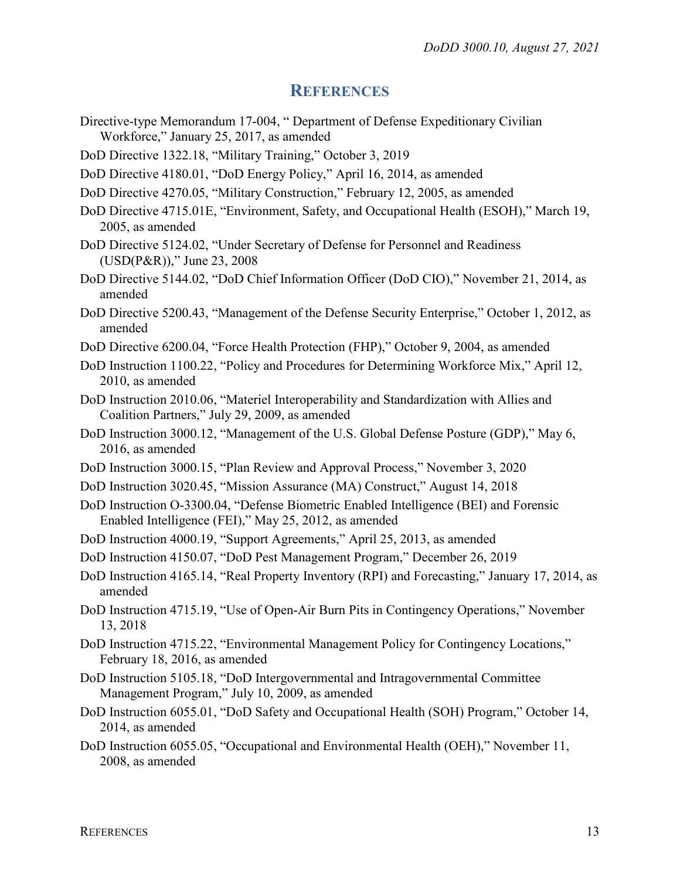#### **REFERENCES**

- <span id="page-12-0"></span>Directive-type Memorandum 17-004, " Department of Defense Expeditionary Civilian Workforce," January 25, 2017, as amended
- DoD Directive 1322.18, "Military Training," October 3, 2019
- DoD Directive 4180.01, "DoD Energy Policy," April 16, 2014, as amended
- DoD Directive 4270.05, "Military Construction," February 12, 2005, as amended
- DoD Directive 4715.01E, "Environment, Safety, and Occupational Health (ESOH)," March 19, 2005, as amended
- DoD Directive 5124.02, "Under Secretary of Defense for Personnel and Readiness (USD(P&R))," June 23, 2008
- DoD Directive 5144.02, "DoD Chief Information Officer (DoD CIO)," November 21, 2014, as amended
- [DoD Directive 5200.43, "Management of the Defense Security Enterprise," October 1, 2012,](http://www.dtic.mil/whs/directives/corres/pdf/520043p.pdf) as amended
- DoD Directive 6200.04, "Force Health Protection (FHP)," October 9, 2004, as amended
- DoD Instruction 1100.22, "Policy and Procedures for Determining Workforce Mix," April 12, 2010, as amended
- DoD Instruction 2010.06, "Materiel Interoperability and Standardization with Allies and Coalition Partners," July 29, 2009, as amended
- DoD Instruction 3000.12, "Management of the U.S. Global Defense Posture (GDP)," May 6, 2016, as amended
- DoD Instruction 3000.15, "Plan Review and Approval Process," November 3, 2020
- DoD Instruction 3020.45, "Mission Assurance (MA) Construct," August 14, 2018
- DoD Instruction O-3300.04, "Defense Biometric Enabled Intelligence (BEI) and Forensic Enabled Intelligence (FEI)," May 25, 2012, as amended
- DoD Instruction 4000.19, "Support Agreements," April 25, 2013, as amended
- DoD Instruction 4150.07, "DoD Pest Management Program," December 26, 2019
- DoD Instruction 4165.14, "Real Property Inventory (RPI) and Forecasting," January 17, 2014, as amended
- DoD Instruction 4715.19, "Use of Open-Air Burn Pits in Contingency Operations," November 13, 2018
- DoD Instruction 4715.22, "Environmental Management Policy for Contingency Locations," February 18, 2016, as amended
- DoD Instruction 5105.18, "DoD Intergovernmental and Intragovernmental Committee Management Program," July 10, 2009, as amended
- DoD Instruction 6055.01, "DoD Safety and Occupational Health (SOH) Program," October 14, 2014, as amended
- DoD Instruction 6055.05, "Occupational and Environmental Health (OEH)," November 11, 2008, as amended